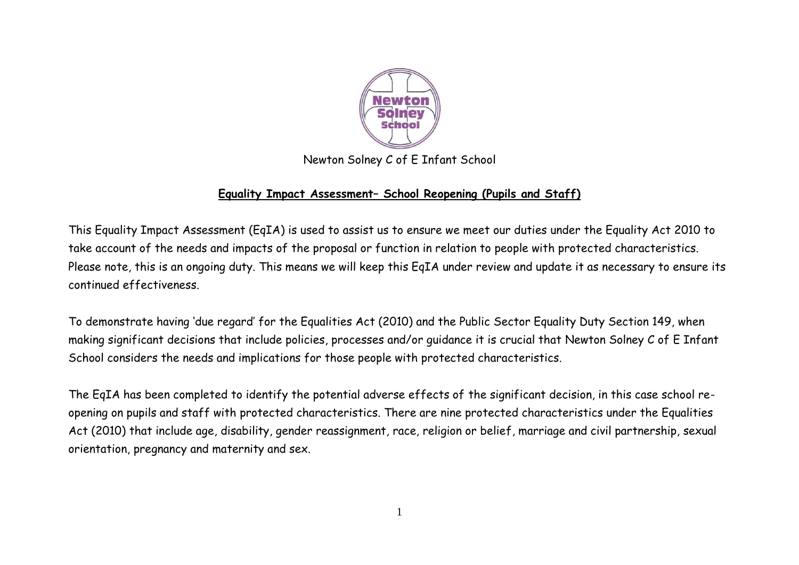

## Newton Solney C of E Infant School

## **Equality Impact Assessment– School Reopening (Pupils and Staff)**

This Equality Impact Assessment (EqIA) is used to assist us to ensure we meet our duties under the Equality Act 2010 to take account of the needs and impacts of the proposal or function in relation to people with protected characteristics. Please note, this is an ongoing duty. This means we will keep this EqIA under review and update it as necessary to ensure its continued effectiveness.

To demonstrate having 'due regard' for the Equalities Act (2010) and the Public Sector Equality Duty Section 149, when making significant decisions that include policies, processes and/or guidance it is crucial that Newton Solney C of E Infant School considers the needs and implications for those people with protected characteristics.

The EqIA has been completed to identify the potential adverse effects of the significant decision, in this case school reopening on pupils and staff with protected characteristics. There are nine protected characteristics under the Equalities Act (2010) that include age, disability, gender reassignment, race, religion or belief, marriage and civil partnership, sexual orientation, pregnancy and maternity and sex.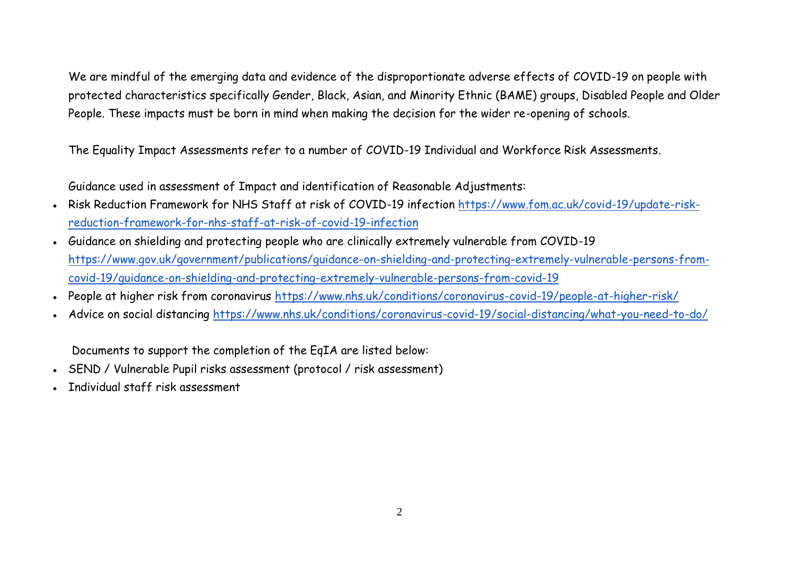We are mindful of the emerging data and evidence of the disproportionate adverse effects of COVID-19 on people with protected characteristics specifically Gender, Black, Asian, and Minority Ethnic (BAME) groups, Disabled People and Older People. These impacts must be born in mind when making the decision for the wider re-opening of schools.

The Equality Impact Assessments refer to a number of COVID-19 Individual and Workforce Risk Assessments.

Guidance used in assessment of Impact and identification of Reasonable Adjustments:

- Risk Reduction Framework for NHS Staff at risk of COVID-19 infection [https://www.fom.ac.uk/covid-19/update-risk](https://www.fom.ac.uk/covid-19/update-risk-reduction-framework-for-nhs-staff-at-risk-of-covid-19-infection)[reduction-framework-for-nhs-staff-at-risk-of-covid-19-infection](https://www.fom.ac.uk/covid-19/update-risk-reduction-framework-for-nhs-staff-at-risk-of-covid-19-infection)
- Guidance on shielding and protecting people who are clinically extremely vulnerable from COVID-19 [https://www.gov.uk/government/publications/guidance-on-shielding-and-protecting-extremely-vulnerable-persons-from](https://www.gov.uk/government/publications/guidance-on-shielding-and-protecting-extremely-vulnerable-persons-from-covid-19/guidance-on-shielding-and-protecting-extremely-vulnerable-persons-from-covid-19)[covid-19/guidance-on-shielding-and-protecting-extremely-vulnerable-persons-from-covid-19](https://www.gov.uk/government/publications/guidance-on-shielding-and-protecting-extremely-vulnerable-persons-from-covid-19/guidance-on-shielding-and-protecting-extremely-vulnerable-persons-from-covid-19)
- People at higher risk from coronavirus<https://www.nhs.uk/conditions/coronavirus-covid-19/people-at-higher-risk/>
- Advice on social distancing<https://www.nhs.uk/conditions/coronavirus-covid-19/social-distancing/what-you-need-to-do/>

Documents to support the completion of the EqIA are listed below:

- SEND / Vulnerable Pupil risks assessment (protocol / risk assessment)
- Individual staff risk assessment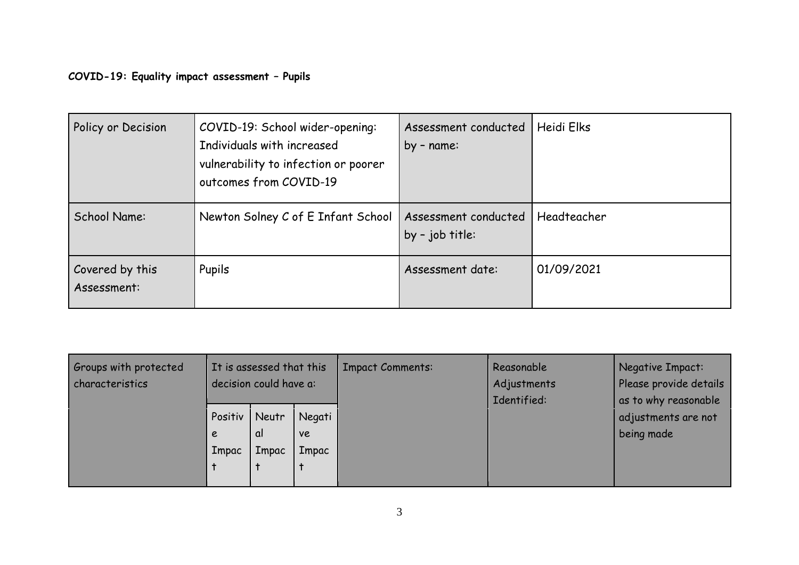**COVID-19: Equality impact assessment – Pupils**

| Policy or Decision             | COVID-19: School wider-opening:<br>Individuals with increased<br>vulnerability to infection or poorer<br>outcomes from COVID-19 | Assessment conducted<br>by - name:      | Heidi Elks  |
|--------------------------------|---------------------------------------------------------------------------------------------------------------------------------|-----------------------------------------|-------------|
| School Name:                   | Newton Solney C of E Infant School                                                                                              | Assessment conducted<br>by - job title: | Headteacher |
| Covered by this<br>Assessment: | Pupils                                                                                                                          | Assessment date:                        | 01/09/2021  |

| Groups with protected<br>characteristics | It is assessed that this<br>decision could have a: |                      |                              | <b>Impact Comments:</b> | Reasonable<br>Adjustments<br>Identified: | Negative Impact:<br>Please provide details<br>as to why reasonable |
|------------------------------------------|----------------------------------------------------|----------------------|------------------------------|-------------------------|------------------------------------------|--------------------------------------------------------------------|
|                                          | Positiv<br>e<br>Impac                              | Neutr<br>αI<br>Impac | Negati<br><b>ve</b><br>Impac |                         |                                          | adjustments are not<br>being made                                  |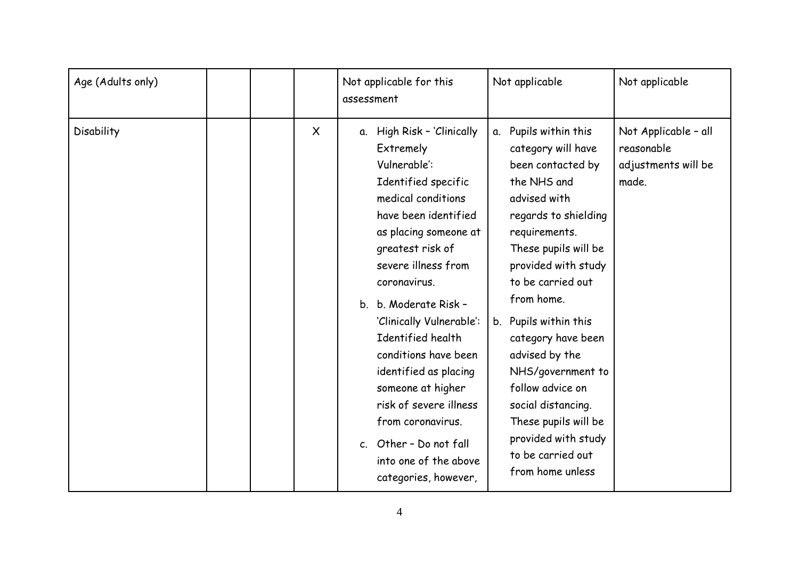| Age (Adults only) |  |         | Not applicable for this<br>assessment                                                                                                                                                                                                                                                                                                                                                                                                                                                             | Not applicable                                                                                                                                                                                                                                                                                                                                                                                                                                        | Not applicable                                                     |
|-------------------|--|---------|---------------------------------------------------------------------------------------------------------------------------------------------------------------------------------------------------------------------------------------------------------------------------------------------------------------------------------------------------------------------------------------------------------------------------------------------------------------------------------------------------|-------------------------------------------------------------------------------------------------------------------------------------------------------------------------------------------------------------------------------------------------------------------------------------------------------------------------------------------------------------------------------------------------------------------------------------------------------|--------------------------------------------------------------------|
| Disability        |  | $\sf X$ | a. High Risk - 'Clinically<br>Extremely<br>Vulnerable:<br>Identified specific<br>medical conditions<br>have been identified<br>as placing someone at<br>greatest risk of<br>severe illness from<br>coronavirus.<br>b. Moderate Risk -<br>$b_{1}$<br>'Clinically Vulnerable':<br>Identified health<br>conditions have been<br>identified as placing<br>someone at higher<br>risk of severe illness<br>from coronavirus.<br>c. Other - Do not fall<br>into one of the above<br>categories, however, | Pupils within this<br>α.<br>category will have<br>been contacted by<br>the NHS and<br>advised with<br>regards to shielding<br>requirements.<br>These pupils will be<br>provided with study<br>to be carried out<br>from home.<br>b. Pupils within this<br>category have been<br>advised by the<br>NHS/government to<br>follow advice on<br>social distancing.<br>These pupils will be<br>provided with study<br>to be carried out<br>from home unless | Not Applicable - all<br>reasonable<br>adjustments will be<br>made. |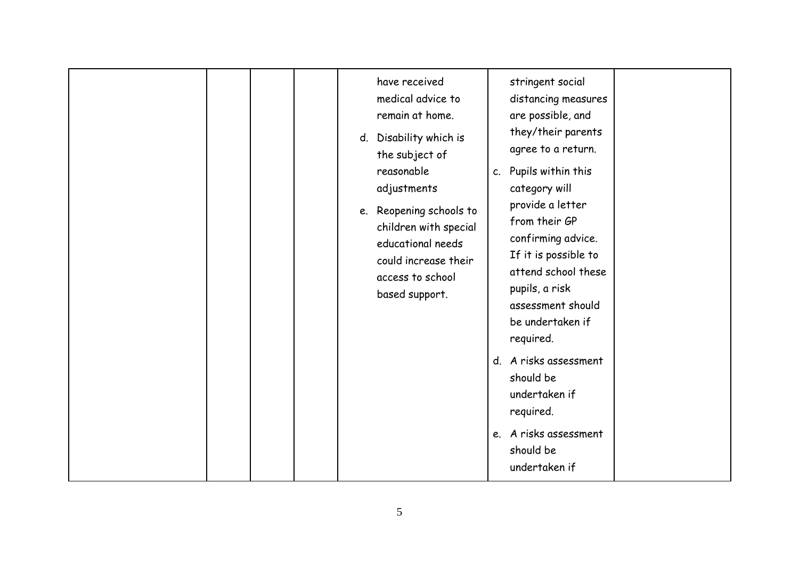|  | have received<br>medical advice to<br>remain at home.<br>d. Disability which is<br>the subject of<br>reasonable<br>adjustments<br>e. Reopening schools to<br>children with special<br>educational needs<br>could increase their<br>access to school<br>based support. | c. Pupils within this<br>category will<br>from their GP<br>pupils, a risk<br>required.<br>should be<br>undertaken if<br>required.<br>should be<br>undertaken if | stringent social<br>distancing measures<br>are possible, and<br>they/their parents<br>agree to a return.<br>provide a letter<br>confirming advice.<br>If it is possible to<br>attend school these<br>assessment should<br>be undertaken if<br>d. A risks assessment<br>e. A risks assessment |  |
|--|-----------------------------------------------------------------------------------------------------------------------------------------------------------------------------------------------------------------------------------------------------------------------|-----------------------------------------------------------------------------------------------------------------------------------------------------------------|----------------------------------------------------------------------------------------------------------------------------------------------------------------------------------------------------------------------------------------------------------------------------------------------|--|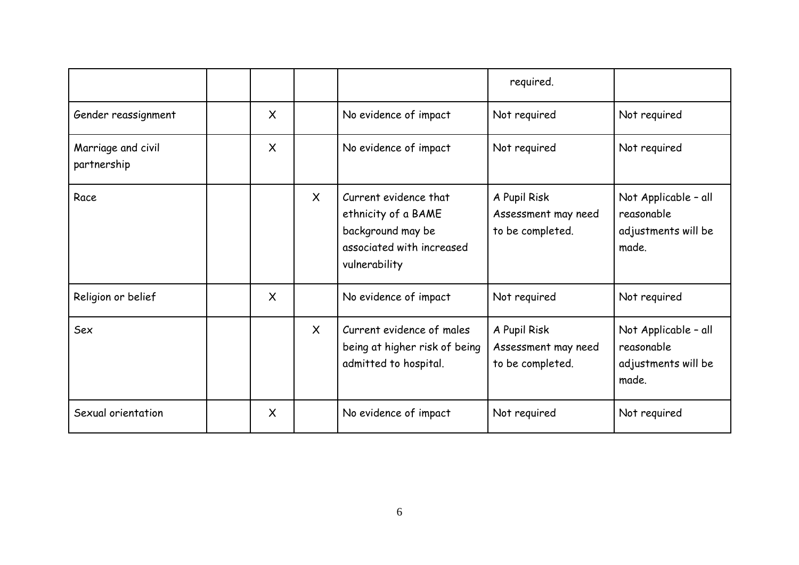|                                   |                           |              |                                                                                                                 | required.                                               |                                                                    |
|-----------------------------------|---------------------------|--------------|-----------------------------------------------------------------------------------------------------------------|---------------------------------------------------------|--------------------------------------------------------------------|
| Gender reassignment               | $\boldsymbol{\mathsf{X}}$ |              | No evidence of impact                                                                                           | Not required                                            | Not required                                                       |
| Marriage and civil<br>partnership | $\times$                  |              | No evidence of impact                                                                                           | Not required                                            | Not required                                                       |
| Race                              |                           | $\mathsf{X}$ | Current evidence that<br>ethnicity of a BAME<br>background may be<br>associated with increased<br>vulnerability | A Pupil Risk<br>Assessment may need<br>to be completed. | Not Applicable - all<br>reasonable<br>adjustments will be<br>made. |
| Religion or belief                | $\boldsymbol{\mathsf{X}}$ |              | No evidence of impact                                                                                           | Not required                                            | Not required                                                       |
| Sex                               |                           | $\sf X$      | Current evidence of males<br>being at higher risk of being<br>admitted to hospital.                             | A Pupil Risk<br>Assessment may need<br>to be completed. | Not Applicable - all<br>reasonable<br>adjustments will be<br>made. |
| Sexual orientation                | $\boldsymbol{\mathsf{X}}$ |              | No evidence of impact                                                                                           | Not required                                            | Not required                                                       |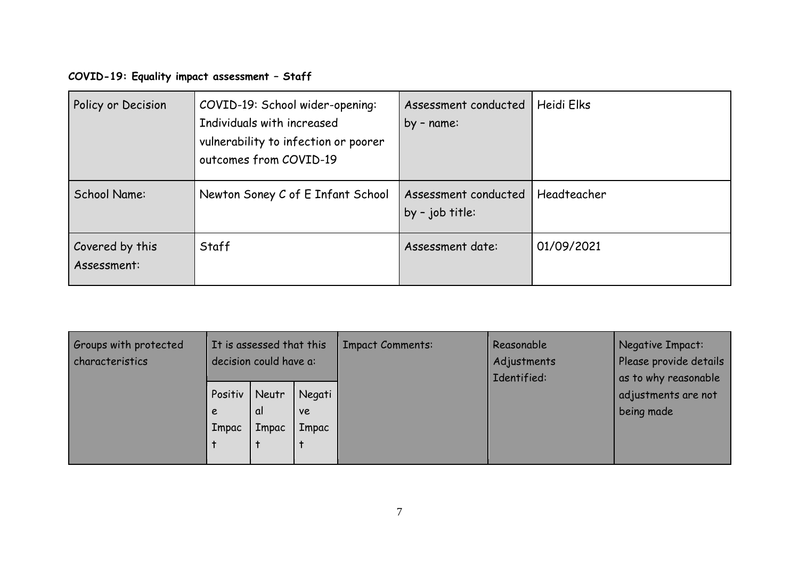## **COVID-19: Equality impact assessment – Staff**

| Policy or Decision             | COVID-19: School wider-opening:<br>Individuals with increased<br>vulnerability to infection or poorer<br>outcomes from COVID-19 | Assessment conducted<br>by - name:      | Heidi Elks  |
|--------------------------------|---------------------------------------------------------------------------------------------------------------------------------|-----------------------------------------|-------------|
| School Name:                   | Newton Soney C of E Infant School                                                                                               | Assessment conducted<br>by - job title: | Headteacher |
| Covered by this<br>Assessment: | Staff                                                                                                                           | Assessment date:                        | 01/09/2021  |

| Groups with protected<br>characteristics | It is assessed that this<br>decision could have a: |                      |                              | <b>Impact Comments:</b> | Reasonable<br>Adjustments<br>Identified: | <b>Negative Impact:</b><br>Please provide details<br>as to why reasonable |
|------------------------------------------|----------------------------------------------------|----------------------|------------------------------|-------------------------|------------------------------------------|---------------------------------------------------------------------------|
|                                          | Positiv<br>e<br>Impac                              | Neutr<br>αI<br>Impac | Negati<br><b>ve</b><br>Impac |                         |                                          | adjustments are not<br>being made                                         |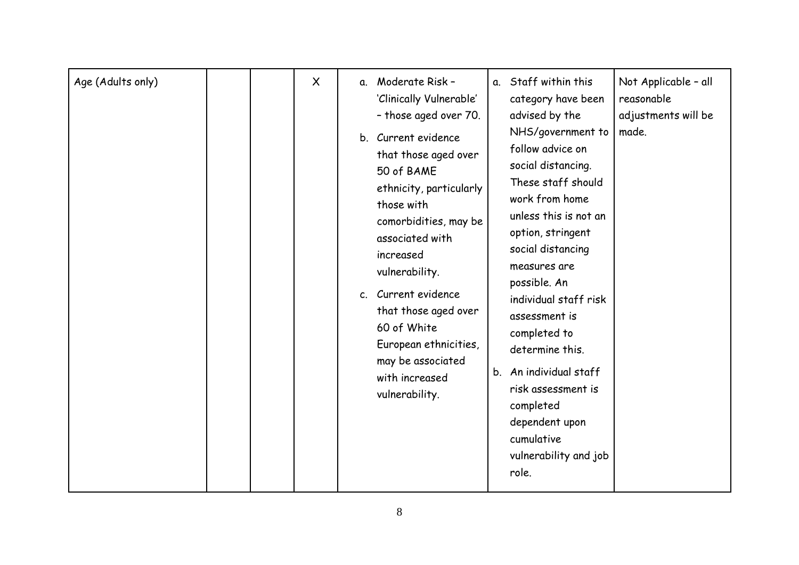| Age (Adults only) |  | $\sf X$ | a. Moderate Risk -<br>'Clinically Vulnerable'<br>- those aged over 70.<br>b. Current evidence<br>that those aged over<br>50 of BAME<br>ethnicity, particularly<br>those with<br>comorbidities, may be<br>associated with<br>increased<br>vulnerability.<br>c. Current evidence<br>that those aged over<br>60 of White<br>European ethnicities, | a. Staff within this<br>category have been<br>advised by the<br>NHS/government to<br>follow advice on<br>social distancing.<br>These staff should<br>work from home<br>unless this is not an<br>option, stringent<br>social distancing<br>measures are<br>possible. An<br>individual staff risk<br>assessment is<br>completed to<br>determine this. | Not Applicable - all<br>reasonable<br>adjustments will be<br>made. |
|-------------------|--|---------|------------------------------------------------------------------------------------------------------------------------------------------------------------------------------------------------------------------------------------------------------------------------------------------------------------------------------------------------|-----------------------------------------------------------------------------------------------------------------------------------------------------------------------------------------------------------------------------------------------------------------------------------------------------------------------------------------------------|--------------------------------------------------------------------|
|                   |  |         | may be associated<br>with increased<br>vulnerability.                                                                                                                                                                                                                                                                                          | b. An individual staff<br>risk assessment is<br>completed<br>dependent upon<br>cumulative                                                                                                                                                                                                                                                           |                                                                    |
|                   |  |         |                                                                                                                                                                                                                                                                                                                                                | vulnerability and job<br>role.                                                                                                                                                                                                                                                                                                                      |                                                                    |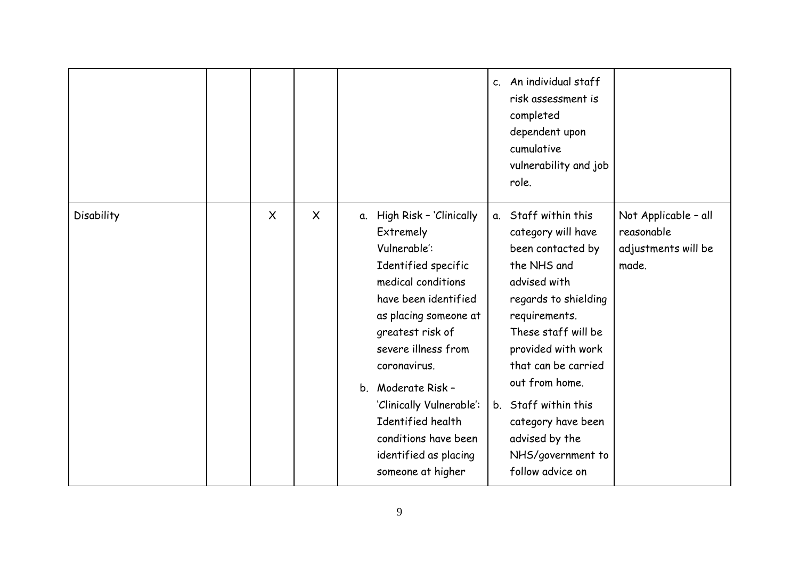|            |          |         |                                                                                                                                                                                                                                                                                                                                                                  | c. An individual staff<br>risk assessment is<br>completed<br>dependent upon<br>cumulative<br>vulnerability and job<br>role.                                                                                                                                                                                                            |                                                                    |
|------------|----------|---------|------------------------------------------------------------------------------------------------------------------------------------------------------------------------------------------------------------------------------------------------------------------------------------------------------------------------------------------------------------------|----------------------------------------------------------------------------------------------------------------------------------------------------------------------------------------------------------------------------------------------------------------------------------------------------------------------------------------|--------------------------------------------------------------------|
| Disability | $\times$ | $\sf X$ | High Risk - 'Clinically<br>α.<br>Extremely<br>Vulnerable':<br>Identified specific<br>medical conditions<br>have been identified<br>as placing someone at<br>greatest risk of<br>severe illness from<br>coronavirus.<br>b. Moderate Risk -<br>'Clinically Vulnerable':<br>Identified health<br>conditions have been<br>identified as placing<br>someone at higher | a. Staff within this<br>category will have<br>been contacted by<br>the NHS and<br>advised with<br>regards to shielding<br>requirements.<br>These staff will be<br>provided with work<br>that can be carried<br>out from home.<br>b. Staff within this<br>category have been<br>advised by the<br>NHS/government to<br>follow advice on | Not Applicable - all<br>reasonable<br>adjustments will be<br>made. |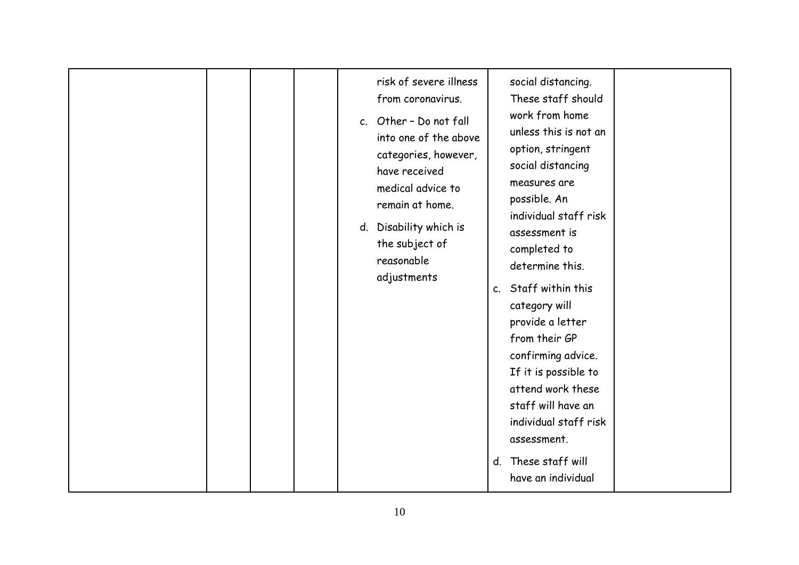| d. | risk of severe illness<br>from coronavirus.<br>c. Other - Do not fall<br>into one of the above<br>categories, however,<br>have received<br>medical advice to<br>remain at home.<br>Disability which is<br>the subject of<br>reasonable | social distancing.<br>These staff should<br>work from home<br>unless this is not an<br>option, stringent<br>social distancing<br>measures are<br>possible. An<br>individual staff risk<br>assessment is<br>completed to<br>determine this.               |  |
|----|----------------------------------------------------------------------------------------------------------------------------------------------------------------------------------------------------------------------------------------|----------------------------------------------------------------------------------------------------------------------------------------------------------------------------------------------------------------------------------------------------------|--|
|    | adjustments                                                                                                                                                                                                                            | c. Staff within this<br>category will<br>provide a letter<br>from their GP<br>confirming advice.<br>If it is possible to<br>attend work these<br>staff will have an<br>individual staff risk<br>assessment.<br>d. These staff will<br>have an individual |  |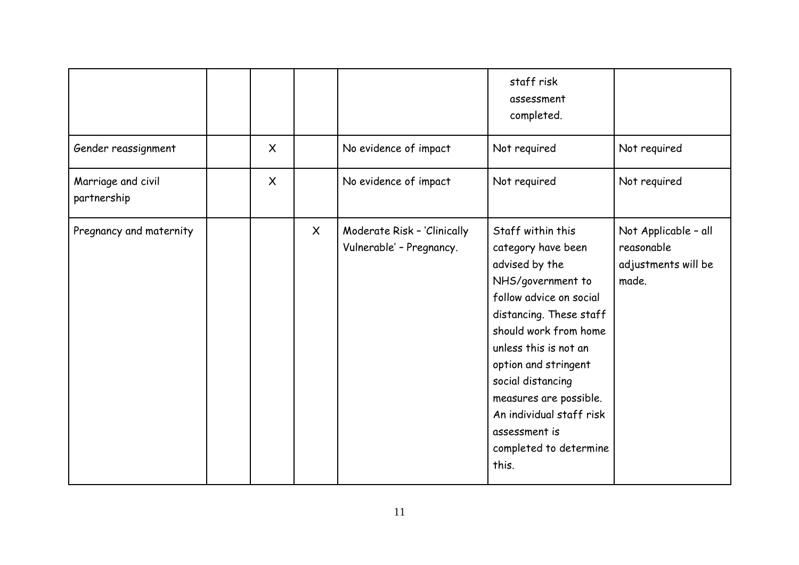|                                   |          |              |                                                         | staff risk<br>assessment<br>completed.                                                                                                                                                                                                                                                                                                        |                                                                    |
|-----------------------------------|----------|--------------|---------------------------------------------------------|-----------------------------------------------------------------------------------------------------------------------------------------------------------------------------------------------------------------------------------------------------------------------------------------------------------------------------------------------|--------------------------------------------------------------------|
| Gender reassignment               | $\times$ |              | No evidence of impact                                   | Not required                                                                                                                                                                                                                                                                                                                                  | Not required                                                       |
| Marriage and civil<br>partnership | $\times$ |              | No evidence of impact                                   | Not required                                                                                                                                                                                                                                                                                                                                  | Not required                                                       |
| Pregnancy and maternity           |          | $\mathsf{X}$ | Moderate Risk - 'Clinically<br>Vulnerable' - Pregnancy. | Staff within this<br>category have been<br>advised by the<br>NHS/government to<br>follow advice on social<br>distancing. These staff<br>should work from home<br>unless this is not an<br>option and stringent<br>social distancing<br>measures are possible.<br>An individual staff risk<br>assessment is<br>completed to determine<br>this. | Not Applicable - all<br>reasonable<br>adjustments will be<br>made. |